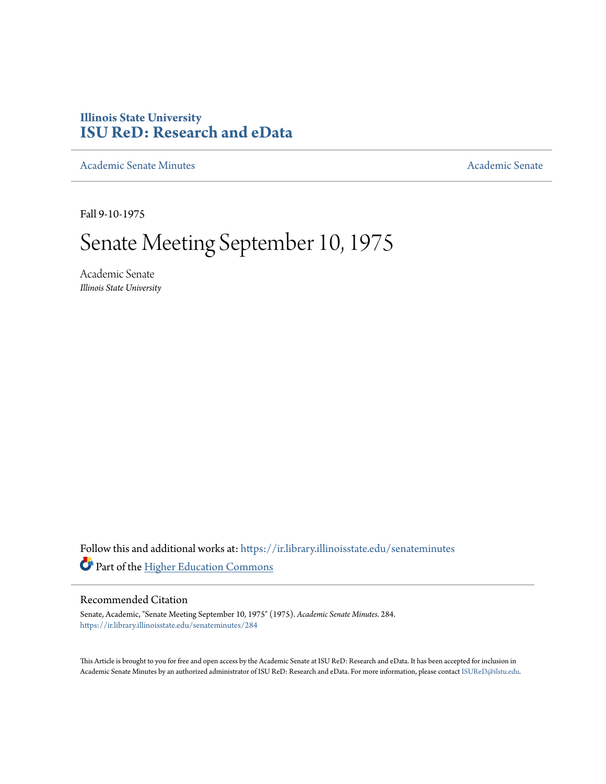## **Illinois State University [ISU ReD: Research and eData](https://ir.library.illinoisstate.edu?utm_source=ir.library.illinoisstate.edu%2Fsenateminutes%2F284&utm_medium=PDF&utm_campaign=PDFCoverPages)**

[Academic Senate Minutes](https://ir.library.illinoisstate.edu/senateminutes?utm_source=ir.library.illinoisstate.edu%2Fsenateminutes%2F284&utm_medium=PDF&utm_campaign=PDFCoverPages) [Academic Senate](https://ir.library.illinoisstate.edu/senate?utm_source=ir.library.illinoisstate.edu%2Fsenateminutes%2F284&utm_medium=PDF&utm_campaign=PDFCoverPages) Academic Senate

Fall 9-10-1975

# Senate Meeting September 10, 1975

Academic Senate *Illinois State University*

Follow this and additional works at: [https://ir.library.illinoisstate.edu/senateminutes](https://ir.library.illinoisstate.edu/senateminutes?utm_source=ir.library.illinoisstate.edu%2Fsenateminutes%2F284&utm_medium=PDF&utm_campaign=PDFCoverPages) Part of the [Higher Education Commons](http://network.bepress.com/hgg/discipline/1245?utm_source=ir.library.illinoisstate.edu%2Fsenateminutes%2F284&utm_medium=PDF&utm_campaign=PDFCoverPages)

#### Recommended Citation

Senate, Academic, "Senate Meeting September 10, 1975" (1975). *Academic Senate Minutes*. 284. [https://ir.library.illinoisstate.edu/senateminutes/284](https://ir.library.illinoisstate.edu/senateminutes/284?utm_source=ir.library.illinoisstate.edu%2Fsenateminutes%2F284&utm_medium=PDF&utm_campaign=PDFCoverPages)

This Article is brought to you for free and open access by the Academic Senate at ISU ReD: Research and eData. It has been accepted for inclusion in Academic Senate Minutes by an authorized administrator of ISU ReD: Research and eData. For more information, please contact [ISUReD@ilstu.edu.](mailto:ISUReD@ilstu.edu)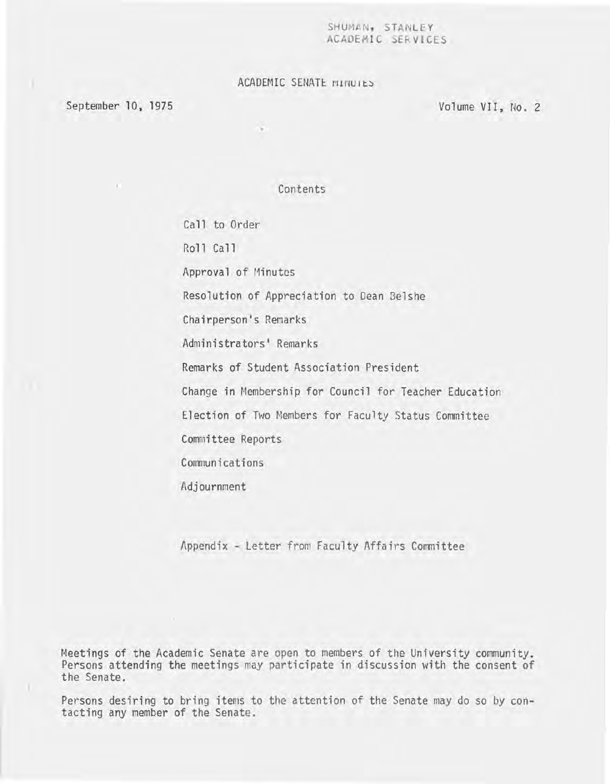#### SHUMAN, STANLEY ACADEMIC SERVICES

### ACADEMIC SENATE MINUIES

September 10, 1975

Volume VII, No.2

Contents

Call to Order Roll Call Approval of Minutes Resolution of Appreciation to Dean 3elshe Chairperson's Remarks Administrators' Remarks Remarks of Student Association President Change in Membership for Council for Teacher Education Election of Two Members for Faculty Status Committee Committee Reports Communications Adjournment

Appendix - Letter from Faculty Affairs Committee

Meetings of the Academic Senate are open to members of the University community. Persons attending the meetings may participate in discussion with the consent of the Senate.

Persons desiring to bring items to the attention of the Senate may do so by contacting any member of the Senate.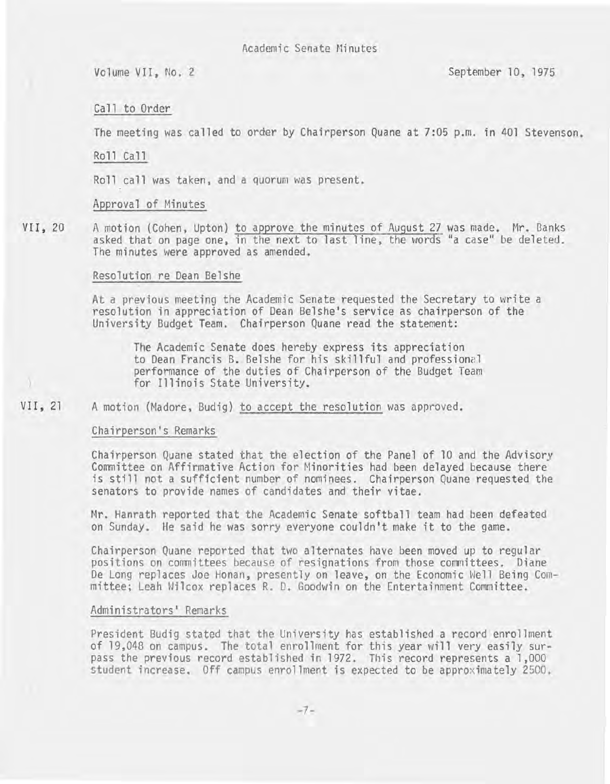Volume VII, No.2 September 10, 1975

#### Call to Order

The meeting was called to order by Chairperson Quane at 7:05 p.m. in 401 Stevenson.

#### Roll Ca 11

Roll call was taken, and a quorum was present.

#### Approval of Minutes

VII, 20 A motion (Cohen, Upton) to approve the minutes of August 27 was made. Mr. Banks asked that on page one, in the next to last line, the words "a case" be deleted. The minutes were approved as amended.

#### Resolution re Dean Belshe

At a previous meeting the Academic Senate requested the Secretary to write a resolution in appreciation of Dean Belshe's service as chairperson of the University Budget Team. Chairperson Quane read the statement:

The Academic Senate does hereby express its appreciation to Dean Francis B. Belshe for his skillful and professional performance of the duties of Chairperson of the Budget Team for Illinois State University.

#### VII, 21 A motion (Madore, Budig) to accept the resolution was approved.

#### Chairperson's Remarks

Chairperson Quane stated that the election of the Panel of 10 and the Advisory Committee on Affirmative Action for Minorities had been delayed because there is still not a sufficient number of nominees. Chairperson Quane requested the senators to provide names of candidates and their vitae.

Mr. Hanrath reported that the Academic Senate softball team had been defeated on Sunday. He said he was sorry everyone couldn't make it to the game.

Chairperson Quane reported that two alternates have been moved up to regular positions on committees because of resignations from those committees. Diane De Long replaces Joe Honan, presently on leave, on the Economic Well Being Committee; Leah Wilcox replaces R. D. Goodwin on the Entertainment Committee.

#### Administrators' Remarks

President Budig stated that the University has established a record enrollment of 19,048 on campus. The total enrollment for this year will very easily surpass the previous record established in 1972. This record represents a 1,000 student increase. Off campus enrollment is expected to be approximately 2500 .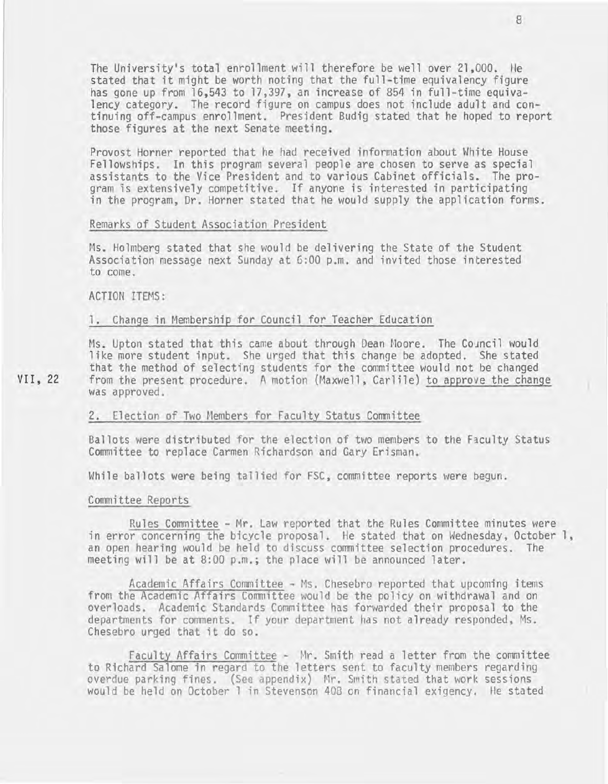The University's total enrollment will therefore be well over 21,000. He stated that it might be worth noting that the full-time equivalency figure has gone up from 16,543 to 17,397, an increase of 854 in full-time equivalency category. The record figure on campus does not include adult and continuing off-campus enrollment. President Budig stated that he hoped to report those figures at the next Senate meeting.

Provost Horner reported that he had received information about White House Fellowships. In this program several people are chosen to serve as special assistants to the Vice President and to various Cabinet officials. The pro-<br>gram is extensively competitive. If anyone is interested in participating in the program, Dr. Horner stated that he would supply the application forms.

#### Remarks of Student Association President

Hs. Holmberg stated that she would be delivering the State of the Student Association message next Sunday at 6:00 p.m. and invited those interested to come.

ACTION ITEMS:

#### 1. Change in Membership for Council for Teacher Education

Ms. Upton stated that this came about through Dean Moore. The Council would like more student input. She urged that this change be adopted. She stated that the method of selecting students for the committee would not be changed from the present procedure. A motion (Maxwell, Carlile) to approve the change was approved.

#### 2. Election of Two Hembers for Faculty Status Committee

Ballots were distributed for the election of two members to the Faculty Status Committee to replace Carmen Richardson and Gary Erisman.

While ballots were being tallied for FSC, committee reports were begun.

#### Committee Reports

Rules Committee - Mr. Law reported that the Rules Committee minutes were in error concerning the bicycle proposal. He stated that on Wednesday, October 1, an open hearing would be held to discuss committee selection procedures. The meeting will be at 8:00 p.m.; the place will be announced later.

Academic Affairs Committee - Ms. Chesebro reported that upcoming items from the Academic Affairs Committee would be the policy on withdrawal and on overloads. Academic Standards Committee has forwarded their proposal to the departments for comments. If your department has not already responded, Hs. Chesebro urged that it do so.

Faculty Affairs Committee - Mr. Smith read a letter from the committee<br>to Richard Salome in regard to the letters sent to faculty members regarding overdue parking fines. (See appendix) Mr. Smith stated that work sessions would be held on October 1 in Stevenson 408 on financial exigency. He stated

VII, 22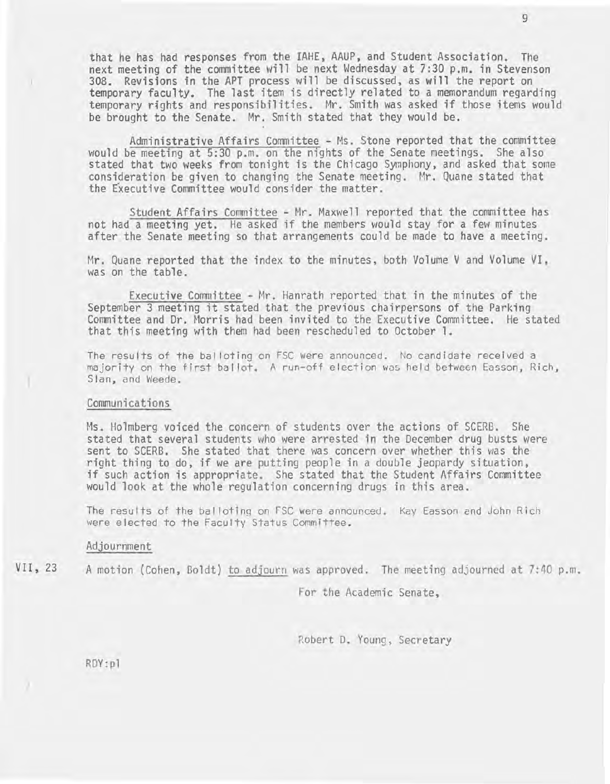that he has had responses from the IAHE, AAUP, and Student Association. The next meeting of the committee will be next Wednesday at 7:30 p.m. in Stevenson 308. Revisions in the APT process will be discussed, as will the report on temporary faculty. The last item is directly related to a memorandum regarding temporary rfghts and responsibilities. Mr. Smith was asked if those items would be brought to the Senate. Mr. Smith stated that they would be.

Administrative Affairs Committee - Ms. Stone reported that the committee would be meeting at 5:30 p.m. on the nights of the Senate meetings. She also stated that two weeks from tonight is the Chicago Symphony, and asked that some consideration be given to changing the Senate meeting. Mr. Quane stated that the Executive Committee would consider the matter.

Student Affairs Committee - Mr. Maxwell reported that the committee has not had a meeting yet. He asked if the members would stay for a few minutes after the Senate meeting so that arrangements could be made to have a meeting.

Mr. Quane reported that the index to the minutes, both Volume V and Volume VI, was on the table.

Executive Committee - Mr. Hanrath reported that in the minutes of the September 3 meeting it stated that the previous chairpersons of the Parking Committee and Dr. Morris had been invited to the Executive Committee. He stated that this meeting with them had been rescheduled to October 1.

The results of the balloting on FSC were announced. No candidate received a majority on the first bal lot. A run-off election was held between Easson, Rich, Sian, and Weede.

#### Communications

Ms. Holmberg voiced the concern of students over the actions of SCERB. She stated that several students who were arrested in the December drug busts were sent to SCERB. She stated that there was concern over whether this was the right thing to do, if we are putting people in a double jeopardy situation, if such action is appropriate. She stated that the Student Affairs Committee would look at the whole regulation concerning drugs in this area.

The results of the balloting on FSC were announced. Kay Easson and John Rich were elected to the Faculty Status Committee.

#### Adjournment

VII, 23

A motion (Cohen, Boldt) to adjourn was approved. The meeting adjourned at 7:40 p.m.

For the Academic Senate,

Robert D. Young, Secretary

RDY:pl